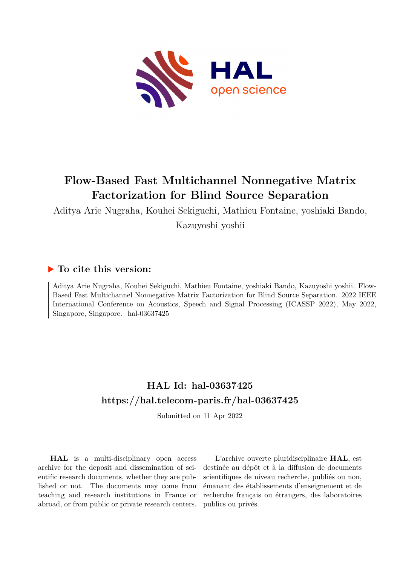

# **Flow-Based Fast Multichannel Nonnegative Matrix Factorization for Blind Source Separation**

Aditya Arie Nugraha, Kouhei Sekiguchi, Mathieu Fontaine, yoshiaki Bando, Kazuyoshi yoshii

# **To cite this version:**

Aditya Arie Nugraha, Kouhei Sekiguchi, Mathieu Fontaine, yoshiaki Bando, Kazuyoshi yoshii. Flow-Based Fast Multichannel Nonnegative Matrix Factorization for Blind Source Separation. 2022 IEEE International Conference on Acoustics, Speech and Signal Processing (ICASSP 2022), May 2022, Singapore, Singapore. hal-03637425

# **HAL Id: hal-03637425 <https://hal.telecom-paris.fr/hal-03637425>**

Submitted on 11 Apr 2022

**HAL** is a multi-disciplinary open access archive for the deposit and dissemination of scientific research documents, whether they are published or not. The documents may come from teaching and research institutions in France or abroad, or from public or private research centers.

L'archive ouverte pluridisciplinaire **HAL**, est destinée au dépôt et à la diffusion de documents scientifiques de niveau recherche, publiés ou non, émanant des établissements d'enseignement et de recherche français ou étrangers, des laboratoires publics ou privés.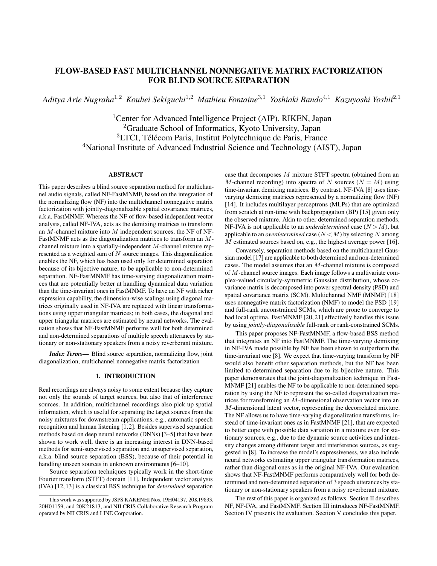## FLOW-BASED FAST MULTICHANNEL NONNEGATIVE MATRIX FACTORIZATION FOR BLIND SOURCE SEPARATION

*Aditya Arie Nugraha*<sup>1</sup>,<sup>2</sup> *Kouhei Sekiguchi*<sup>1</sup>,<sup>2</sup> *Mathieu Fontaine*<sup>3</sup>,<sup>1</sup> *Yoshiaki Bando*<sup>4</sup>,<sup>1</sup> *Kazuyoshi Yoshii*<sup>2</sup>,<sup>1</sup>

<sup>1</sup> Center for Advanced Intelligence Project (AIP), RIKEN, Japan Graduate School of Informatics, Kyoto University, Japan LTCI, Télécom Paris, Institut Polytechnique de Paris, France National Institute of Advanced Industrial Science and Technology (AIST), Japan

## ABSTRACT

This paper describes a blind source separation method for multichannel audio signals, called NF-FastMNMF, based on the integration of the normalizing flow (NF) into the multichannel nonnegative matrix factorization with jointly-diagonalizable spatial covariance matrices, a.k.a. FastMNMF. Whereas the NF of flow-based independent vector analysis, called NF-IVA, acts as the demixing matrices to transform an M-channel mixture into M independent sources, the NF of NF-FastMNMF acts as the diagonalization matrices to transform an Mchannel mixture into a spatially-independent M-channel mixture represented as a weighted sum of  $N$  source images. This diagonalization enables the NF, which has been used only for determined separation because of its bijective nature, to be applicable to non-determined separation. NF-FastMNMF has time-varying diagonalization matrices that are potentially better at handling dynamical data variation than the time-invariant ones in FastMNMF. To have an NF with richer expression capability, the dimension-wise scalings using diagonal matrices originally used in NF-IVA are replaced with linear transformations using upper triangular matrices; in both cases, the diagonal and upper triangular matrices are estimated by neural networks. The evaluation shows that NF-FastMNMF performs well for both determined and non-determined separations of multiple speech utterances by stationary or non-stationary speakers from a noisy reverberant mixture.

*Index Terms*— Blind source separation, normalizing flow, joint diagonalization, multichannel nonnegative matrix factorization

## 1. INTRODUCTION

Real recordings are always noisy to some extent because they capture not only the sounds of target sources, but also that of interference sources. In addition, multichannel recordings also pick up spatial information, which is useful for separating the target sources from the noisy mixtures for downstream applications, e.g., automatic speech recognition and human listening [1, 2]. Besides supervised separation methods based on deep neural networks (DNNs) [3–5] that have been shown to work well, there is an increasing interest in DNN-based methods for semi-supervised separation and unsupervised separation, a.k.a. blind source separation (BSS), because of their potential in handling unseen sources in unknown environments [6–10].

Source separation techniques typically work in the short-time Fourier transform (STFT) domain [11]. Independent vector analysis (IVA) [12, 13] is a classical BSS technique for *determined* separation case that decomposes M mixture STFT spectra (obtained from an M-channel recording) into spectra of N sources ( $N = M$ ) using time-invariant demixing matrices. By contrast, NF-IVA [8] uses timevarying demixing matrices represented by a normalizing flow (NF) [14]. It includes multilayer perceptrons (MLPs) that are optimized from scratch at run-time with backpropagation (BP) [15] given only the observed mixture. Akin to other determined separation methods, NF-IVA is not applicable to an *underdetermined* case  $(N > M)$ , but applicable to an *overdetermined* case  $(N < M)$  by selecting N among M estimated sources based on, e.g., the highest average power [16].

Conversely, separation methods based on the multichannel Gaussian model [17] are applicable to both determined and non-determined cases. The model assumes that an M-channel mixture is composed of M-channel source images. Each image follows a multivariate complex-valued circularly-symmetric Gaussian distribution, whose covariance matrix is decomposed into power spectral density (PSD) and spatial covariance matrix (SCM). Multichannel NMF (MNMF) [18] uses nonnegative matrix factorization (NMF) to model the PSD [19] and full-rank unconstrained SCMs, which are prone to converge to bad local optima. FastMNMF [20, 21] effectively handles this issue by using *jointly-diagonalizable* full-rank or rank-constrained SCMs.

This paper proposes NF-FastMNMF, a flow-based BSS method that integrates an NF into FastMNMF. The time-varying demixing in NF-IVA made possible by NF has been shown to outperform the time-invariant one [8]. We expect that time-varying transform by NF would also benefit other separation methods, but the NF has been limited to determined separation due to its bijective nature. This paper demonstrates that the joint-diagonalization technique in Fast-MNMF [21] enables the NF to be applicable to non-determined separation by using the NF to represent the so-called diagonalization matrices for transforming an M-dimensional observation vector into an M-dimensional latent vector, representing the decorrelated mixture. The NF allows us to have time-varying diagonalization transforms, instead of time-invariant ones as in FastMNMF [21], that are expected to better cope with possible data variation in a mixture even for stationary sources, e.g., due to the dynamic source activities and intensity changes among different target and interference sources, as suggested in [8]. To increase the model's expressiveness, we also include neural networks estimating upper triangular transformation matrices, rather than diagonal ones as in the original NF-IVA. Our evaluation shows that NF-FastMNMF performs comparatively well for both determined and non-determined separation of 3 speech utterances by stationary or non-stationary speakers from a noisy reverberant mixture.

The rest of this paper is organized as follows. Section II describes NF, NF-IVA, and FastMNMF. Section III introduces NF-FastMNMF. Section IV presents the evaluation. Section V concludes this paper.

This work was supported by JSPS KAKENHI Nos. 19H04137, 20K19833, 20H01159, and 20K21813, and NII CRIS Collaborative Research Program operated by NII CRIS and LINE Corporation.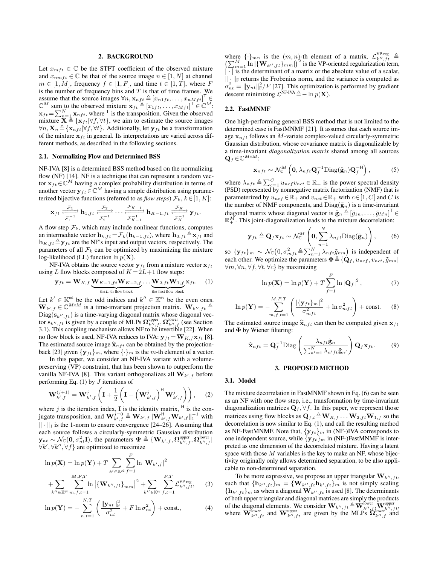## 2. BACKGROUND

Let  $x_{mft} \in \mathbb{C}$  be the STFT coefficient of the observed mixture and  $x_{nmft} \in \mathbb{C}$  be that of the source image  $n \in [1, N]$  at channel  $m \in [1, M]$ , frequency  $f \in [1, F]$ , and time  $t \in [1, T]$ , where F is the number of frequency bins and  $T$  is that of time frames. We assume that the source images  $\forall n, \mathbf{x}_{nft} \triangleq [x_{n1ft}, \dots, x_{nMft}]^{\mathsf{T}} \in$  $\mathbb{C}^M$  sum to the observed mixture  $\mathbf{x}_{ft} \triangleq [x_{1ft}, \dots, x_{Mft}]^{\mathsf{T}} \in \mathbb{C}^M$ :  $\mathbf{x}_{ft} = \sum_{n=1}^{N} \mathbf{x}_{nft}$ , where <sup>T</sup> is the transposition. Given the observed mixture  $\mathbf{X} = \{ \mathbf{x}_{ft} | \forall f, \forall t \}$ , we aim to estimate the source images  $\forall n, \mathbf{X}_n \triangleq {\mathbf{x}_{nft}|\forall f, \forall t}$ . Additionally, let  $\mathbf{y}_{ft}$  be a transformation of the mixture  $x_{ft}$  in general. Its interpretations are varied across different methods, as described in the following sections.

## 2.1. Normalizing Flow and Determined BSS

NF-IVA [8] is a determined BSS method based on the normalizing flow (NF) [14]. NF is a technique that can represent a random vector  $\mathbf{x}_{ft} \in \mathbb{C}^{M}$  having a complex probability distribution in terms of another vector  $\mathbf{y}_{ft} \in \mathbb{C}^{M}$  having a simple distribution using parameterized bijective functions (referred to as *flow steps*)  $\mathcal{F}_k$ ,  $k \in [1, K]$ :

$$
\mathbf{x}_{ft} \xrightarrow[\mathcal{F}_1^{-1}]{} \mathbf{h}_{1,ft} \xrightarrow[\mathcal{F}_2^{-1}]{} \cdots \xrightarrow[\mathcal{F}_{K-1}^{-1}]{} \mathbf{h}_{K-1,ft} \xrightarrow[\mathcal{F}_K^{-1}]{} \mathbf{y}_{ft}.
$$

A flow step  $\mathcal{F}_k$ , which may include nonlinear functions, computes an intermediate vector  $\mathbf{h}_{k,ft} = \mathcal{F}_k(\mathbf{h}_{k-1,ft})$ , where  $\mathbf{h}_{0,ft} \triangleq \mathbf{x}_{ft}$  and  $\mathbf{h}_{K,ft} \triangleq \mathbf{y}_{ft}$  are the NF's input and output vectors, respectively. The parameters of all  $\mathcal{F}_k$  can be optimized by maximizing the mixture log-likelihood (LL) function  $\ln p(\mathbf{X})$ .

NF-IVA obtains the source vector  $y_{ft}$  from a mixture vector  $x_{ft}$ using L flow blocks composed of  $K = 2L+1$  flow steps:

$$
\mathbf{y}_{ft} = \mathbf{W}_{K,f} \underbrace{\mathbf{W}_{K-1,ft} \mathbf{W}_{K-2,f}}_{\text{the } L\text{-th flow block}} \dots \underbrace{\mathbf{W}_{2,ft} \mathbf{W}_{1,f}}_{\text{the first flow block}} \mathbf{x}_{ft}. \tag{1}
$$

Let  $k' \in \mathbb{K}^{\text{od}}$  be the odd indices and  $k'' \in \mathbb{K}^{\text{ev}}$  be the even ones.  $\mathbf{W}_{k',f} \in \mathbb{C}^{M \times M}$  is a time-invariant projection matrix.  $\mathbf{W}_{k'',ft} \triangleq$  $Diag(s_{k'',ft})$  is a time-varying diagonal matrix whose diagonal vector  $\mathbf{s}_{k'',ft}$  is given by a couple of MLPs  $\Omega_{k'',f}^{\text{upper}}, \Omega_{k'',f}^{\text{lower}}$  (see Section 3.1). This coupling mechanism allows NF to be invertible [22]. When no flow block is used, NF-IVA reduces to IVA:  $y_{ft} = W_{K, f} x_{ft}$  [8]. The estimated source image  $\hat{\mathbf{x}}_{nft}$  can be obtained by the projectionback [23] given  $\{y_{ft}\}_m$ , where  $\{\cdot\}_m$  is the m-th element of a vector.

In this paper, we consider an NF-IVA variant with a volumepreserving (VP) constraint, that has been shown to outperform the vanilla NF-IVA [8]. This variant orthogonalizes all  $W_{k',f}$  before performing Eq.  $(1)$  by  $J$  iterations of

$$
\mathbf{W}_{k',f}^{(j+1)} = \mathbf{W}_{k',f}^j \left( \mathbf{I} + \frac{1}{2} \left( \mathbf{I} - \left( \mathbf{W}_{k',f}^j \right)^{\mathsf{H}} \mathbf{W}_{k',f}^j \right) \right), \quad (2)
$$

where j is the iteration index, **I** is the identity matrix,  $H$  is the conjugate transposition, and  $\mathbf{W}_{k',f}^{j=0} \triangleq \mathbf{W}_{k',f} \|\mathbf{W}_{k',f}^{\mathsf{H}} \mathbf{W}_{k',f} \|_{1}^{-1}$  with  $\|\cdot\|_1$  is the 1-norm to ensure convergence [24–26]. Assuming that each source follows a circularly-symmetric Gaussian distribution  $\mathbf{y}_{nt} \sim \mathcal{N}_{\mathbb{C}}(\mathbf{0}, \sigma_{nt}^2 \mathbf{I})$ , the parameters  $\boldsymbol{\Psi} \triangleq \{\mathbf{W}_{k',f}, \boldsymbol{\Omega}_{k'',f}^{\text{upper}}, \boldsymbol{\Omega}_{k'',f}^{\text{lower}}\}$  $\forall k', \forall k'', \forall f$  are optimized to maximize

$$
\ln p(\mathbf{X}) = \ln p(\mathbf{Y}) + T \sum_{k' \in \mathbb{K}^{od}} \sum_{f=1}^{F} \ln |\mathbf{W}_{k',f}|^2
$$
  
+ 
$$
\sum_{k'' \in \mathbb{K}^{ev}} \sum_{m,f,t=1}^{M,F,T} \ln |\{\mathbf{W}_{k'',ft}\}_{mm}|^2 + \sum_{k'' \in \mathbb{K}^{ev}} \sum_{f,t=1}^{F,T} \mathcal{L}_{k'',ft}^{\text{VP-reg}}, \quad (3)
$$

$$
\ln p(\mathbf{Y}) = -\sum_{n,t=1}^{N,T} \left( \frac{\|\mathbf{y}_{nt}\|_{\mathrm{F}}^2}{\sigma_{nt}^2} + F \ln \sigma_{nt}^2 \right) + \text{const.},\tag{4}
$$

where  $\{\cdot\}_{mn}$  is the  $(m, n)$ -th element of a matrix,  $\mathcal{L}_{k'',ft}^{\text{VP-reg}} \triangleq \left(\sum_{m=1}^{M} \ln |\{\mathbf{W}_{k'',ft}\}_{mm}|^2\right)$  is the VP-oriented regularization term, | · | is the determinant of a matrix or the absolute value of a scalar,  $\Vert \cdot \Vert_F$  returns the Frobenius norm, and the variance is computed as  $\sigma_{nt}^2 = ||\mathbf{y}_{nt}||_F^2 / F$  [27]. This optimization is performed by gradient descent minimizing  $\mathcal{L}^{\text{NF-IVA}} \triangleq -\ln p(\mathbf{X}).$ 

#### 2.2. FastMNMF

One high-performing general BSS method that is not limited to the determined case is FastMNMF [21]. It assumes that each source image  $x_{nft}$  follows an M-variate complex-valued circularly-symmetric Gaussian distribution, whose covariance matrix is diagonalizable by a time-invariant *diagonalization matrix* shared among all sources  $\mathbf{Q}_f\!\in\!\mathbb{C}^{M\!\times\!M}\!$  :

$$
\mathbf{x}_{nft} \sim \mathcal{N}_{\mathbb{C}}^{M} \left( \mathbf{0}, \lambda_{nft} \mathbf{Q}_{f}^{-1} \text{Diag}(\tilde{\mathbf{g}}_{n}) \mathbf{Q}_{f}^{-H} \right), \tag{5}
$$

where  $\lambda_{nft} \triangleq \sum_{c=1}^{C} u_{ncf} v_{nct} \in \mathbb{R}_+$  is the power spectral density (PSD) represented by nonnegative matrix factorization (NMF) that is parameterized by  $u_{ncf} \in \mathbb{R}_+$  and  $v_{ncf} \in \mathbb{R}_+$  with  $c \in [1, C]$  and C is the number of NMF components, and  $Diag(\tilde{\mathbf{g}}_n)$  is a time-invariant diagonal matrix whose diagonal vector is  $\tilde{\mathbf{g}}_n \triangleq [\tilde{g}_{1n}, \dots, \tilde{g}_{Mn}]^{\mathsf{T}} \in$  $\mathbb{R}^M_+$ . This joint-diagonalization leads to the mixture decorrelation:

$$
\mathbf{y}_{ft} \triangleq \mathbf{Q}_f \mathbf{x}_{ft} \sim \mathcal{N}_{\mathbb{C}}^M \left( \mathbf{0}, \sum_{n=1}^N \lambda_{nft} \text{Diag}(\tilde{\mathbf{g}}_n) \right), \quad (6)
$$

so  $\{y_{ft}\}_m \sim \mathcal{N}_{\mathbb{C}}\left(0, \sigma_{mft}^2 \triangleq \sum_{n=1}^N \lambda_{nft} \tilde{g}_{mn}\right)$  is independent of each other. We optimize the parameters  $\boldsymbol{\Phi} \triangleq \{\dot{\mathbf{Q}}_f, u_{ncf}, v_{nct}, \tilde{g}_{mn}\}$  $\forall m, \forall n, \forall f, \forall t, \forall c$ } by maximizing

$$
\ln p(\mathbf{X}) = \ln p(\mathbf{Y}) + T \sum_{f=1}^{F} \ln |\mathbf{Q}_f|^2, \tag{7}
$$

$$
\ln p(\mathbf{Y}) = -\sum_{m,f,t=1}^{M,F,T} \left( \frac{|\{\mathbf{y}_{ft}\}_m|^2}{\sigma_{mft}^2} + \ln \sigma_{mft}^2 \right) + \text{const.} \tag{8}
$$

The estimated source image  $\hat{\mathbf{x}}_{nft}$  can then be computed given  $\mathbf{x}_{ft}$ and Φ by Wiener filtering:

$$
\widehat{\mathbf{x}}_{nft} = \mathbf{Q}_f^{-1} \text{Diag}\left(\frac{\lambda_{nft}\widetilde{\mathbf{g}}_n}{\sum_{n'=1}^N \lambda_{n'ft}\widetilde{\mathbf{g}}_{n'}}\right) \mathbf{Q}_f \mathbf{x}_{ft}.
$$
 (9)

#### 3. PROPOSED METHOD

#### 3.1. Model

The mixture decorrelation in FastMNMF shown in Eq. (6) can be seen as an NF with one flow step, i.e., transformation by time-invariant diagonalization matrices  $\overline{\mathbf{Q}}_f$ ,  $\forall f$ . In this paper, we represent those matrices using flow blocks as  $\mathbf{Q}_{f,t} \triangleq \mathbf{W}_{K,f} \dots \mathbf{W}_{2,ft} \mathbf{W}_{1,f}$  so the decorrelation is now similar to Eq. (1), and call the resulting method as NF-FastMNMF. Note that,  ${y_{ft}}_m$  in (NF-)IVA corresponds to one independent source, while  $\{y_{ft}\}_m$  in (NF-)FastMNMF is interpreted as one dimension of the decorrelated mixture. Having a latent space with those  $M$  variables is the key to make an NF, whose bijectivity originally only allows determined separation, to be also applicable to non-determined separation.

To be more expressive, we propose an upper triangular  $W_{k'',ft}$ , such that  ${\{\mathbf h_{k'',ft}\}}_m = {\{\mathbf W_{k'',ft}\mathbf h_{k',ft}\}}_m$  is not simply scaling  ${\bf h}_{k',ft}$ <sub>m</sub> as when a diagonal  ${\bf W}_{k'',ft}$  is used [8]. The determinants of both upper triangular and diagonal matrices are simply the products of the diagonal elements. We consider  $W_{k'',ft} \triangleq W_{k'',ft}^{\text{lower}} \mathbf{W}_{k'',ft}^{\text{upper}}$ where  $\mathbf{W}_{k'',ft}^{\text{lower}}$  and  $\mathbf{W}_{k'',ft}^{\text{upper}}$  are given by the MLPs  $\mathbf{\hat{Q}}_{k'',ft}^{\text{lower}}$  and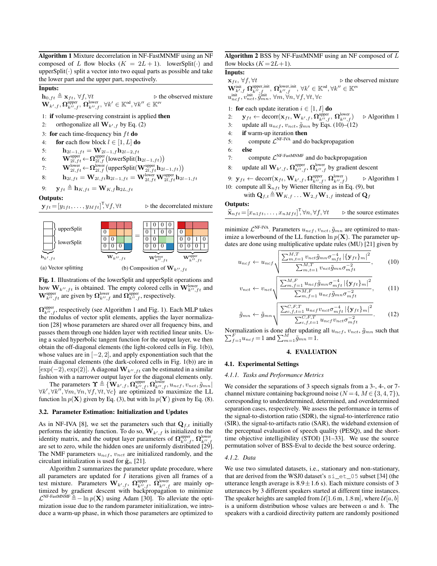Algorithm 1 Mixture decorrelation in NF-FastMNMF using an NF composed of L flow blocks  $(K = 2L + 1)$ . lowerSplit( $\cdot$ ) and upper $Split(\cdot)$  split a vector into two equal parts as possible and take the lower part and the upper part, respectively.

## Inputs:

 $\mathbf{h}_{0,ft} \triangleq \mathbf{x}_{ft}, \forall f, \forall t$  > the observed mixture  $\mathbf{W}_{k',f}, \boldsymbol{\Omega}^{\text{upper}}_{k'',f},\, \boldsymbol{\Omega}^{\text{lower}}_{k'',f},\, \forall k' \in \mathbb{K}^{\text{od}}, \forall k'' \in \mathbb{K}^{\text{ev}}$ 

- 1: if volume-preserving constraint is applied then
- 2: orthogonalize all  $\mathbf{W}_{k',f}$  by Eq. (2)
- 3: for each time-frequency bin  $ft$  do
- 4: for each flow block  $l \in [1, L]$  do
- 5:  $h_{2l-1,ft} = W_{2l-1,f}h_{2l-2,ft}$
- 6: W<sup>upper</sup> ←  $\Omega_{2l,f}^{\text{upper}}$  (lowerSplit( $\mathbf{h}_{2l-1,f}$ t))
- 7: W $\mathbf{W}_{2l,ft}^{\text{lower}}$  ←  $\mathbf{\Omega}_{2l,f}^{\text{lower}}$  (upperSplit $(\mathbf{W}_{2l,ft}^{\text{upper}} \mathbf{h}_{2l-1,ft})$ )
- 8:  $\qquad \mathbf{h}_{2l,ft} = \mathbf{W}_{2l,ft}\mathbf{h}_{2l-1,ft} = \mathbf{W}_{2l,ft}^{\text{lower}}\mathbf{W}_{2l,ft}^{\text{upper}}\mathbf{h}_{2l-1,ft}$

9: 
$$
\mathbf{y}_{ft} \triangleq \mathbf{h}_{K,ft} = \mathbf{W}_{K,f} \mathbf{h}_{2L,ft}
$$

Outputs:

$$
\mathbf{y}_{ft} = [y_{1ft}, \dots, y_{Mft}]^\mathsf{T}, \forall f
$$

 $f, \forall t \rightarrow \infty$  the decorrelated mixture



Fig. 1. Illustrations of the lowerSplit and upperSplit operations and how  $W_{k'',ft}$  is obtained. The empty colored cells in  $W_{k'',ft}^{\text{lower}}$  and  $\mathbf{W}_{k'',ft}^{\text{upper}}$  are given by  $\mathbf{\Omega}_{k'',f}^{\text{lower}}$  and  $\mathbf{\Omega}_{k'',f}^{\text{upper}}$ , respectively.

 $\Omega_{k'',f}^{\text{upper}}$ , respectively (see Algorithm 1 and Fig. 1). Each MLP takes the modulus of vector split elements, applies the layer normalization [28] whose parameters are shared over all frequency bins, and passes them through one hidden layer with rectified linear units. Using a scaled hyperbolic tangent function for the output layer, we then obtain the off-diagonal elements (the light-colored cells in Fig. 1(b)), whose values are in  $[-2, 2]$ , and apply exponentiation such that the main diagonal elements (the dark-colored cells in Fig. 1(b)) are in  $[\exp(-2), \exp(2)]$ . A diagonal  $\mathbf{W}_{k'',ft}$  can be estimated in a similar fashion with a narrower output layer for the diagonal elements only.

The parameters  $\Upsilon \triangleq \{ \mathbf{W}_{k',f}, \mathbf{\Omega}_{k'',f}^{\text{upper}}, \mathbf{\Omega}_{k'',f}^{\text{lower}}, u_{ncf}, v_{nct}, \tilde{g}_{mn} \}$  $\forall k', \forall k'', \forall m, \forall n, \forall f, \forall t, \forall c$ } are optimized to maximize the LL function  $\ln p(\mathbf{X})$  given by Eq. (3), but with  $\ln p(\mathbf{Y})$  given by Eq. (8).

## 3.2. Parameter Estimation: Initialization and Updates

As in NF-IVA [8], we set the parameters such that  $Q_{f,t}$  initially performs the identity function. To do so,  $\mathbf{W}_{k',f}$  is initialized to the identity matrix, and the output layer parameters of  $\Omega_{k'',f}^{\text{upper}}, \Omega_{k'',f}^{\text{lower}}$ are set to zero, while the hidden ones are uniformly distributed [29]. The NMF parameters  $u_{ncf}$ ,  $v_{nct}$  are initialized randomly, and the circulant initialization is used for  $\tilde{\mathbf{g}}_n$  [21].

Algorithm 2 summarizes the parameter update procedure, where all parameters are updated for  $I$  iterations given all frames of a test mixture. Parameters  $\mathbf{W}_{k',f}$ ,  $\mathbf{\Omega}_{k'',f}^{\text{upper}}$ ,  $\mathbf{\Omega}_{k'',f}^{\text{lower}}$  are mainly optimized by gradient descent with backpropagation to minimize  $\mathcal{L}^{\text{NF-FastMMMF}} \triangleq -\ln p(\mathbf{X})$  using Adam [30]. To alleviate the optimization issue due to the random parameter initialization, we introduce a warm-up phase, in which those parameters are optimized to

## Algorithm 2 BSS by NF-FastMNMF using an NF composed of L flow blocks  $(K = 2L+1)$ .

## Inputs:

 $\mathbf{x}_{ft}, \forall f, \forall t$  > the observed mixture  $\mathbf{W}_{k',f}^{\text{init}}\ \boldsymbol{\Omega}_{k'',f}^{\text{upper,init}},\ \boldsymbol{\Omega}_{k'',f}^{\text{lower,init}},\ \forall k'\in\mathbb{K}^{\text{od}},\forall k''\in\mathbb{K}^{\text{ev}}$  $u_{ncf}^{\text{init}}, v_{nct}^{\text{init}}, \tilde{g}_{mn}^{\text{init}}, \, \forall m, \forall n, \forall f, \forall t, \forall c$ 

- 1: for each update iteration  $i \in [1, I]$  do
- 2:  $\mathbf{y}_{ft} \leftarrow \text{decorr}(\mathbf{x}_{ft}, \mathbf{W}_{k',f}, \mathbf{\Omega}_{k'',f}^{\text{upper}}, \mathbf{\Omega}_{k'',j}^{\text{lower}})$  $\triangleright$  Algorithm 1
- 3: update all  $u_{ncf}$ ,  $v_{nct}$ ,  $\tilde{g}_{mn}$  by Eqs. (10)–(12)
- 4: if warm-up iteration then
- 5: compute  $\mathcal{L}^{\text{NF-IVA}}$  and do backpropagation
- 6: else
- 7: compute  $\mathcal{L}^{\text{NF-FastMMMF}}$  and do backpropagation
- 8: update all  $\mathbf{W}_{k',f}, \mathbf{\Omega}_{k'',f}^{\text{upper}}, \mathbf{\Omega}_{k'',f}^{\text{lower}}$  by gradient descent
- 9:  $\mathbf{y}_{ft} \leftarrow \text{decorr}(\mathbf{x}_{ft}, \mathbf{W}_{k',f}, \boldsymbol{\Omega}_{k'',f}^{\text{upper}}, \boldsymbol{\Omega}_{k'',j}^{\text{lower}})$  $\triangleright$  Algorithm 1 10: compute all  $\hat{\mathbf{x}}_{nft}$  by Wiener filtering as in Eq. (9), but
	- with  $\mathbf{Q}_{f,t} \triangleq \mathbf{W}_{K,f} \dots \mathbf{W}_{2,f} \mathbf{W}_{1,f}$  instead of  $\mathbf{Q}_{f}$

## Outputs:

$$
\widehat{\mathbf{x}}_{nft} = [x_{n1ft}, \dots, x_{nMft}]^\mathsf{T}, \forall n, \forall f, \forall t \qquad \triangleright \text{ the source estimates}
$$

minimize  $\mathcal{L}^{\text{NF-IVA}}$ . Parameters  $u_{ncf}$ ,  $v_{nct}$ ,  $\tilde{g}_{mn}$  are optimized to maximize a lowerbound of the LL function  $\ln p(\mathbf{X})$ . The parameter updates are done using multiplicative update rules (MU) [21] given by

$$
u_{ncf} \leftarrow u_{ncf} \sqrt{\frac{\sum_{m,t=1}^{M,T} v_{nct} \tilde{g}_{mn} \sigma_{mft}^{-4} | \{\mathbf{y}_{ft}\}_m |^2}{\sum_{m,t=1}^{M,T} v_{nct} \tilde{g}_{mn} \sigma_{mft}^{-2}}},
$$
 (10)

$$
v_{nct} \leftarrow v_{nct} \sqrt{\frac{\sum_{m,f=1}^{M,F} u_{ncf} \tilde{g}_{mn} \sigma_{mft}^{-4} | \{\mathbf{y}_{ft}\}_m|^2}{\sum_{m,f=1}^{M,F} u_{ncf} \tilde{g}_{mn} \sigma_{mft}^{-2}}},\qquad(11)
$$

$$
\tilde{g}_{mn} \leftarrow \tilde{g}_{mn} \sqrt{\frac{\sum_{c,f,t=1}^{C,F,T} u_{ncf} v_{nct} \sigma_{mft}^{-4} | \{\mathbf{y}_{ft}\}_m |^2}{\sum_{c,f,t=1}^{C,F,T} u_{ncf} v_{nct} \sigma_{mft}^{-2}}}.
$$
 (12)

Normalization is done after updating all  $u_{ncf}$ ,  $v_{nct}$ ,  $\tilde{g}_{mn}$  such that  $\sum_{r=1}^{F} u_{ncf} = 1$  and  $\sum_{m=1}^{M} \tilde{g}_{mn} = 1$ .  $_{f=1}^{F} u_{ncf} = 1$  and  $\sum_{m=1}^{M} \tilde{g}_{mn} = 1$ .

## 4. EVALUATION

## 4.1. Experimental Settings

## *4.1.1. Tasks and Performance Metrics*

We consider the separations of 3 speech signals from a 3-, 4-, or 7 channel mixture containing background noise ( $N = 4, M \in \{3, 4, 7\}$ ), corresponding to underdetermined, determined, and overdetermined separation cases, respectively. We assess the performance in terms of the signal-to-distortion ratio (SDR), the signal-to-interference ratio (SIR), the signal-to-artifacts ratio (SAR), the wideband extension of the perceptual evaluation of speech quality (PESQ), and the shorttime objective intelligibility (STOI) [31–33]. We use the source permutation solver of BSS-Eval to decide the best source ordering.

#### *4.1.2. Data*

We use two simulated datasets, i.e., stationary and non-stationary, that are derived from the WSJ0 dataset's si\_et\_05 subset [34] (the utterance length average is  $8.9 \pm 1.6$  s). Each mixture consists of 3 utterances by 3 different speakers started at different time instances. The speaker heights are sampled from  $\mathcal{U}[1.6 \text{ m}, 1.8 \text{ m}]$ , where  $\mathcal{U}[a, b]$ is a uniform distribution whose values are between  $a$  and  $b$ . The speakers with a cardioid directivity pattern are randomly positioned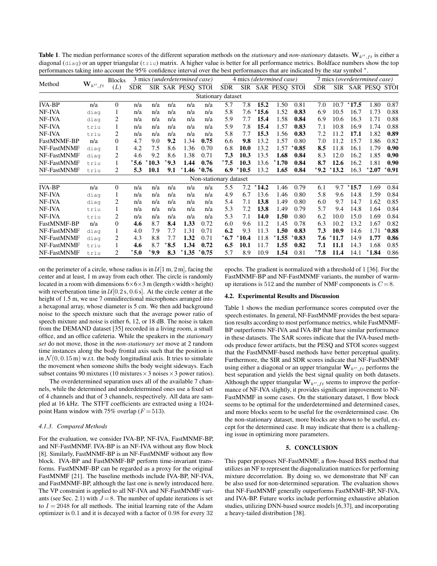**Table 1**. The median performance scores of the different separation methods on the *stationary* and *non-stationary* datasets.  $W_{k'',ft}$  is either a diagonal (diag) or an upper triangular (triu) matrix. A higher value is better for all performance metrics. Boldface numbers show the top performances taking into account the 95% confidence interval over the best performances that are indicated by the star symbol  $\gamma$ .

| Method        | $\mathbf{W}_{k^{\prime\prime},ft}$ | <b>Blocks</b>  | 3 mics (underdetermined case) |         |                |                   |         | 4 mics ( <i>determined case</i> ) |                |         |                   |         | 7 mics (overdetermined case) |                |                |                   |                 |
|---------------|------------------------------------|----------------|-------------------------------|---------|----------------|-------------------|---------|-----------------------------------|----------------|---------|-------------------|---------|------------------------------|----------------|----------------|-------------------|-----------------|
|               |                                    | (L)            | <b>SDR</b>                    |         |                | SIR SAR PESQ STOI |         | <b>SDR</b>                        |                |         | SIR SAR PESQ STOI |         | <b>SDR</b>                   |                |                | SIR SAR PESQ STOI |                 |
|               |                                    |                |                               |         |                |                   |         | Stationary dataset                |                |         |                   |         |                              |                |                |                   |                 |
| <b>IVA-BP</b> | n/a                                | $\mathbf{0}$   | n/a                           | n/a     | n/a            | n/a               | n/a     | 5.7                               | 7.8            | 15.2    | 1.50              | 0.81    | 7.0                          | 10.7           | $^{\star}17.5$ | 1.80              | 0.87            |
| NF-IVA        | diag                               | 1              | n/a                           | n/a     | n/a            | n/a               | n/a     | 5.8                               | 7.6            | $*15.6$ | 1.52              | 0.83    | 6.9                          | 10.5           | 16.7           | 1.73              | 0.88            |
| NF-IVA        | diag                               | 2              | n/a                           | n/a     | n/a            | n/a               | n/a     | 5.9                               | 7.7            | 15.4    | 1.58              | 0.84    | 6.9                          | 10.6           | 16.3           | 1.71              | 0.88            |
| NF-IVA        | triu                               | 1              | n/a                           | n/a     | n/a            | n/a               | n/a     | 5.9                               | 7.8            | 15.4    | 1.57              | 0.83    | 7.1                          | 10.8           | 16.9           | 1.74              | 0.88            |
| NF-IVA        | triu                               | 2              | n/a                           | n/a     | n/a            | n/a               | n/a     | 5.8                               | 7.7            | 15.3    | 1.56              | 0.83    | 7.2                          | 11.2           | 17.1           | 1.82              | 0.89            |
| FastMNMF-BP   | n/a                                | $\mathbf{0}$   | 4.7                           | 9.0     | 9.2            | 1.34              | 0.75    | 6.6                               | 9.8            | 13.2    | 1.57              | 0.80    | 7.0                          | 11.2           | 15.7           | 1.86              | 0.82            |
| NF-FastMNMF   | diag                               | 1              | 4.2                           | 7.5     | 8.6            | 1.36              | 0.70    | 6.8                               | 10.0           | 13.2    | 1.57              | $*0.85$ | 8.5                          | 11.8           | 16.1           | 1.79              | 0.90            |
| NF-FastMNMF   | diag                               | 2              | 4.6                           | 9.2     | 8.6            | 1.38              | 0.71    | 7.3                               | 10.3           | 13.5    | 1.68              | 0.84    | 8.3                          | 12.0           | 16.2           | 1.85              | 0.90            |
| NF-FastMNMF   | triu                               | 1              | $*5.6$                        | $*10.3$ | $^{\star}$ 9.3 | 1.44              | 0.76    | $^{\star}7.5$                     | 10.3           | 13.6    | $*1.70$           | 0.84    | 8.7                          | 12.6           | 16.2           | 1.81              | 0.90            |
| NF-FastMNMF   | triu                               | 2              | 5.3                           | 10.1    | 9.1            | $*1.46 * 0.76$    |         | 6.9                               | $^{\star}10.5$ | 13.2    | 1.65              | 0.84    | $*9.2$                       | $*13.2$        | 16.3           | $*2.07$           | $^{\star}$ 0.91 |
|               |                                    |                |                               |         |                |                   |         | Non-stationary dataset            |                |         |                   |         |                              |                |                |                   |                 |
| <b>IVA-BP</b> | n/a                                | $\overline{0}$ | n/a                           | n/a     | n/a            | n/a               | n/a     | 5.5                               | 7.2            | $*14.2$ | 1.46              | 0.79    | 6.1                          | 9.7            | $*15.7$        | 1.69              | 0.84            |
| NF-IVA        | diag                               | 1              | n/a                           | n/a     | n/a            | n/a               | n/a     | 4.9                               | 6.7            | 13.6    | 1.46              | 0.80    | 5.8                          | 9.6            | 14.8           | 1.59              | 0.84            |
| NF-IVA        | diag                               | 2              | n/a                           | n/a     | n/a            | n/a               | n/a     | 5.4                               | 7.1            | 13.8    | 1.49              | 0.80    | 6.0                          | 9.7            | 14.7           | 1.62              | 0.85            |
| NF-IVA        | triu                               | 1              | n/a                           | n/a     | n/a            | n/a               | n/a     | 5.3                               | 7.2            | 13.8    | 1.49              | 0.79    | 5.7                          | 9.4            | 14.8           | 1.64              | 0.84            |
| NF-IVA        | triu                               | 2              | n/a                           | n/a     | n/a            | n/a               | n/a     | 5.3                               | 7.1            | 14.0    | 1.50              | 0.80    | 6.2                          | 10.0           | 15.0           | 1.69              | 0.84            |
| FastMNMF-BP   | n/a                                | $\Omega$       | 4.6                           | 8.7     | 8.4            | 1.33              | 0.72    | 6.0                               | 9.6            | 11.2    | 1.45              | 0.78    | 6.3                          | 10.2           | 13.2           | 1.67              | 0.82            |
| NF-FastMNMF   | diag                               | 1              | 4.0                           | 7.9     | 7.7            | 1.31              | 0.71    | 6.2                               | 9.3            | 11.3    | 1.50              | 0.83    | 7.3                          | 10.9           | 14.6           | 1.71              | $*0.88$         |
| NF-FastMNMF   | diag                               | 2              | 4.3                           | 8.8     | 7.7            | 1.32              | 0.71    | $^{\star}$ 6.7                    | $^{\star}10.4$ | 11.8    | $^{\star}1.55$    | $*0.83$ | 7.6                          | $^{\star}11.7$ | 14.9           | 1.77              | 0.86            |
| NF-FastMNMF   | triu                               | 1              | 4.6                           | 8.7     | $^{\star}$ 8.5 | 1.34              | 0.72    | 6.5                               | 10.1           | 11.7    | 1.55              | 0.82    | 7.1                          | 11.1           | 14.3           | 1.68              | 0.85            |
| NF-FastMNMF   | triu                               | 2              | $^{\star}$ 5.0                | $*9.9$  | 8.3            | $^{\star}1.35$    | $*0.75$ | 5.7                               | 8.9            | 10.9    | 1.54              | 0.81    | $^{\star}7.8$                | 11.4           | 14.1           | $*1.84$           | 0.86            |

on the perimeter of a circle, whose radius is in  $\mathcal{U}[1 \text{ m}, 2 \text{ m}]$ , facing the center and at least, 1 m away from each other. The circle is randomly located in a room with dimensions  $6\times6\times3$  m (length  $\times$  width  $\times$  height) with reverberation time in  $\mathcal{U}[0.2 \text{ s}, 0.6 \text{ s}]$ . At the circle center at the height of 1.5 m, we use 7 omnidirectional microphones arranged into a hexagonal array, whose diameter is 5 cm. We then add background noise to the speech mixture such that the average power ratio of speech mixture and noise is either 6, 12, or 18 dB. The noise is taken from the DEMAND dataset [35] recorded in a living room, a small office, and an office cafeteria. While the speakers in the *stationary set* do not move, those in the *non-stationary set* move at 2 random time instances along the body frontal axis such that the position is in  $\mathcal{N}(0, 0.15 \text{ m})$  w.r.t. the body longitudinal axis. It tries to simulate the movement when someone shifts the body weight sideways. Each subset contains 90 mixtures (10 mixtures  $\times$  3 noises  $\times$  3 power ratios).

The overdetermined separation uses all of the available 7 channels, while the determined and underdetermined ones use a fixed set of 4 channels and that of 3 channels, respectively. All data are sampled at 16 kHz. The STFT coefficients are extracted using a 1024 point Hann window with 75% overlap ( $F = 513$ ).

## *4.1.3. Compared Methods*

For the evaluation, we consider IVA-BP, NF-IVA, FastMNMF-BP, and NF-FastMNMF. IVA-BP is an NF-IVA without any flow block [8]. Similarly, FastMNMF-BP is an NF-FastMNMF without any flow block. IVA-BP and FastMNMF-BP perform time-invariant transforms. FastMNMF-BP can be regarded as a proxy for the original FastMNMF [21]. The baseline methods include IVA-BP, NF-IVA, and FastMNMF-BP, although the last one is newly introduced here. The VP constraint is applied to all NF-IVA and NF-FastMNMF variants (see Sec. 2.1) with  $J = 8$ . The number of update iterations is set to  $I = 2048$  for all methods. The initial learning rate of the Adam optimizer is 0.1 and it is decayed with a factor of 0.98 for every 32

epochs. The gradient is normalized with a threshold of 1 [36]. For the FastMNMF-BP and NF-FastMNMF variants, the number of warmup iterations is 512 and the number of NMF components is  $C = 8$ .

## 4.2. Experimental Results and Discussion

Table 1 shows the median performance scores computed over the speech estimates. In general, NF-FastMNMF provides the best separation results according to most performance metrics, while FastMNMF-BP outperforms NF-IVA and IVA-BP that have similar performance in these datasets. The SAR scores indicate that the IVA-based methods produce fewer artifacts, but the PESQ and STOI scores suggest that the FastMNMF-based methods have better perceptual quality. Furthermore, the SIR and SDR scores indicate that NF-FastMNMF using either a diagonal or an upper triangular  $\mathbf{W}_{k^{\prime\prime},ft}$  performs the best separation and yields the best signal quality on both datasets. Although the upper triangular  $W_{k'',ft}$  seems to improve the performance of NF-IVA slightly, it provides significant improvement to NF-FastMNMF in some cases. On the stationary dataset, 1 flow block seems to be optimal for the underdetermined and determined cases, and more blocks seem to be useful for the overdetermined case. On the non-stationary dataset, more blocks are shown to be useful, except for the determined case. It may indicate that there is a challenging issue in optimizing more parameters.

## 5. CONCLUSION

This paper proposes NF-FastMNMF, a flow-based BSS method that utilizes an NF to represent the diagonalization matrices for performing mixture decorrelation. By doing so, we demonstrate that NF can be also used for non-determined separation. The evaluation shows that NF-FastMNMF generally outperforms FastMNMF-BP, NF-IVA, and IVA-BP. Future works include performing exhaustive ablation studies, utilizing DNN-based source models [6,37], and incorporating a heavy-tailed distribution [38].